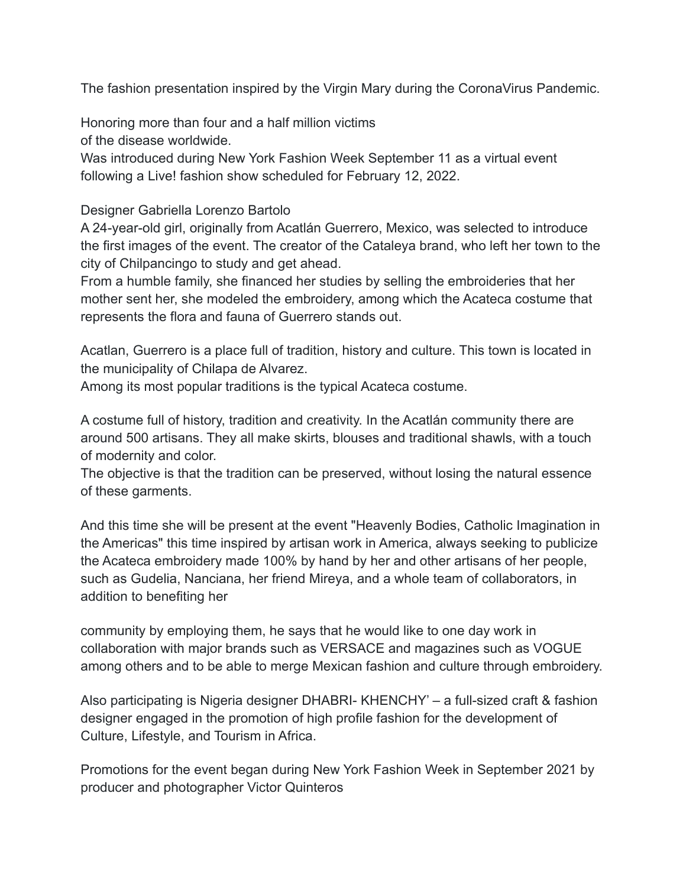The fashion presentation inspired by the Virgin Mary during the CoronaVirus Pandemic.

Honoring more than four and a half million victims of the disease worldwide.

Was introduced during New York Fashion Week September 11 as a virtual event following a Live! fashion show scheduled for February 12, 2022.

## Designer Gabriella Lorenzo Bartolo

A 24-year-old girl, originally from Acatlán Guerrero, Mexico, was selected to introduce the first images of the event. The creator of the Cataleya brand, who left her town to the city of Chilpancingo to study and get ahead.

From a humble family, she financed her studies by selling the embroideries that her mother sent her, she modeled the embroidery, among which the Acateca costume that represents the flora and fauna of Guerrero stands out.

Acatlan, Guerrero is a place full of tradition, history and culture. This town is located in the municipality of Chilapa de Alvarez.

Among its most popular traditions is the typical Acateca costume.

A costume full of history, tradition and creativity. In the Acatlán community there are around 500 artisans. They all make skirts, blouses and traditional shawls, with a touch of modernity and color.

The objective is that the tradition can be preserved, without losing the natural essence of these garments.

And this time she will be present at the event "Heavenly Bodies, Catholic Imagination in the Americas" this time inspired by artisan work in America, always seeking to publicize the Acateca embroidery made 100% by hand by her and other artisans of her people, such as Gudelia, Nanciana, her friend Mireya, and a whole team of collaborators, in addition to benefiting her

community by employing them, he says that he would like to one day work in collaboration with major brands such as VERSACE and magazines such as VOGUE among others and to be able to merge Mexican fashion and culture through embroidery.

Also participating is Nigeria designer DHABRI- KHENCHY' – a full-sized craft & fashion designer engaged in the promotion of high profile fashion for the development of Culture, Lifestyle, and Tourism in Africa.

Promotions for the event began during New York Fashion Week in September 2021 by producer and photographer Victor Quinteros